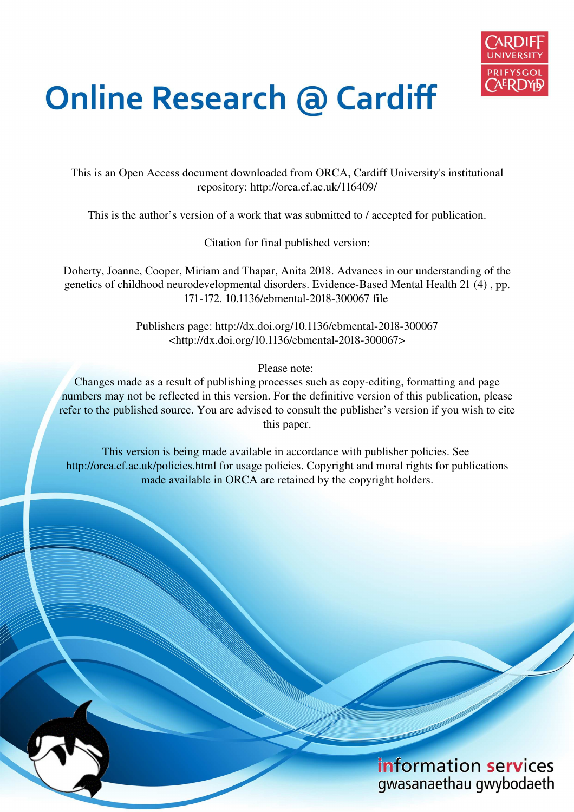

## **Online Research @ Cardiff**

This is an Open Access document downloaded from ORCA, Cardiff University's institutional repository: http://orca.cf.ac.uk/116409/

This is the author's version of a work that was submitted to / accepted for publication.

Citation for final published version:

Doherty, Joanne, Cooper, Miriam and Thapar, Anita 2018. Advances in our understanding of the genetics of childhood neurodevelopmental disorders. Evidence-Based Mental Health 21 (4) , pp. 171-172. 10.1136/ebmental-2018-300067 file

> Publishers page: http://dx.doi.org/10.1136/ebmental-2018-300067 <http://dx.doi.org/10.1136/ebmental-2018-300067>

> > Please note:

Changes made as a result of publishing processes such as copy-editing, formatting and page numbers may not be reflected in this version. For the definitive version of this publication, please refer to the published source. You are advised to consult the publisher's version if you wish to cite this paper.

This version is being made available in accordance with publisher policies. See http://orca.cf.ac.uk/policies.html for usage policies. Copyright and moral rights for publications made available in ORCA are retained by the copyright holders.

## information services gwasanaethau gwybodaeth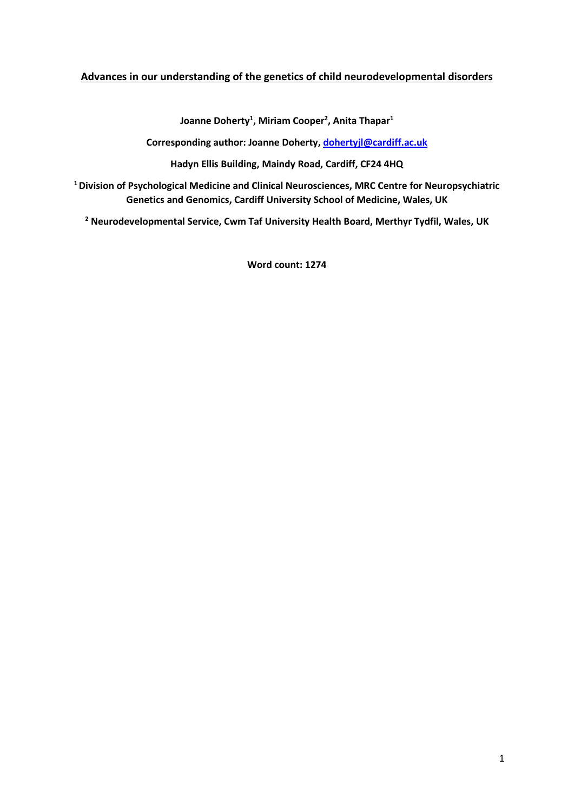## **Advances in our understanding of the genetics of child neurodevelopmental disorders**

**Joanne Doherty<sup>1</sup> , Miriam Cooper<sup>2</sup> , Anita Thapar<sup>1</sup>**

**Corresponding author: Joanne Doherty, [dohertyjl@cardiff.ac.uk](mailto:dohertyjl@cardiff.ac.uk)**

**Hadyn Ellis Building, Maindy Road, Cardiff, CF24 4HQ**

**<sup>1</sup>Division of Psychological Medicine and Clinical Neurosciences, MRC Centre for Neuropsychiatric Genetics and Genomics, Cardiff University School of Medicine, Wales, UK**

**<sup>2</sup> Neurodevelopmental Service, Cwm Taf University Health Board, Merthyr Tydfil, Wales, UK**

**Word count: 1274**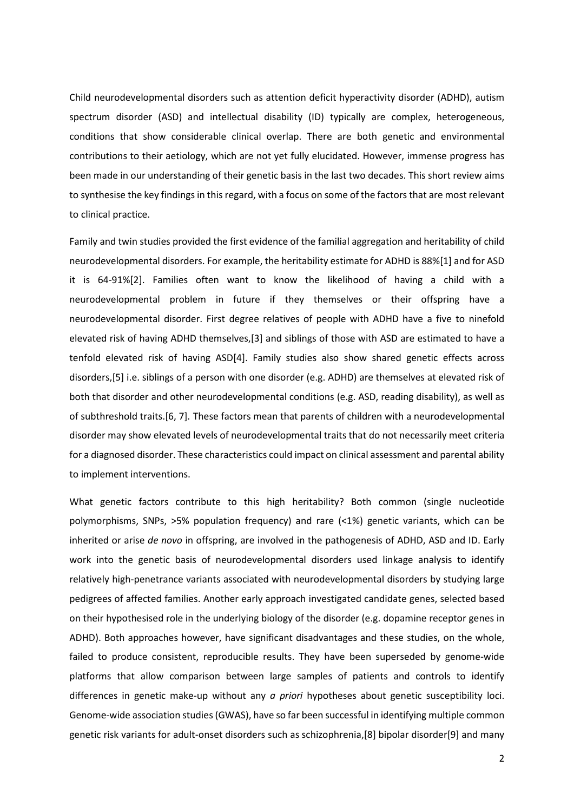Child neurodevelopmental disorders such as attention deficit hyperactivity disorder (ADHD), autism spectrum disorder (ASD) and intellectual disability (ID) typically are complex, heterogeneous, conditions that show considerable clinical overlap. There are both genetic and environmental contributions to their aetiology, which are not yet fully elucidated. However, immense progress has been made in our understanding of their genetic basis in the last two decades. This short review aims to synthesise the key findings in this regard, with a focus on some of the factors that are most relevant to clinical practice.

Family and twin studies provided the first evidence of the familial aggregation and heritability of child neurodevelopmental disorders. For example, the heritability estimate for ADHD is 88%[1] and for ASD it is 64-91%[2]. Families often want to know the likelihood of having a child with a neurodevelopmental problem in future if they themselves or their offspring have a neurodevelopmental disorder. First degree relatives of people with ADHD have a five to ninefold elevated risk of having ADHD themselves,[3] and siblings of those with ASD are estimated to have a tenfold elevated risk of having ASD[4]. Family studies also show shared genetic effects across disorders,[5] i.e. siblings of a person with one disorder (e.g. ADHD) are themselves at elevated risk of both that disorder and other neurodevelopmental conditions (e.g. ASD, reading disability), as well as of subthreshold traits.[6, 7]. These factors mean that parents of children with a neurodevelopmental disorder may show elevated levels of neurodevelopmental traits that do not necessarily meet criteria for a diagnosed disorder. These characteristics could impact on clinical assessment and parental ability to implement interventions.

What genetic factors contribute to this high heritability? Both common (single nucleotide polymorphisms, SNPs, >5% population frequency) and rare (<1%) genetic variants, which can be inherited or arise *de novo* in offspring, are involved in the pathogenesis of ADHD, ASD and ID. Early work into the genetic basis of neurodevelopmental disorders used linkage analysis to identify relatively high-penetrance variants associated with neurodevelopmental disorders by studying large pedigrees of affected families. Another early approach investigated candidate genes, selected based on their hypothesised role in the underlying biology of the disorder (e.g. dopamine receptor genes in ADHD). Both approaches however, have significant disadvantages and these studies, on the whole, failed to produce consistent, reproducible results. They have been superseded by genome-wide platforms that allow comparison between large samples of patients and controls to identify differences in genetic make-up without any *a priori* hypotheses about genetic susceptibility loci. Genome-wide association studies (GWAS), have so far been successful in identifying multiple common genetic risk variants for adult-onset disorders such as schizophrenia,[8] bipolar disorder[9] and many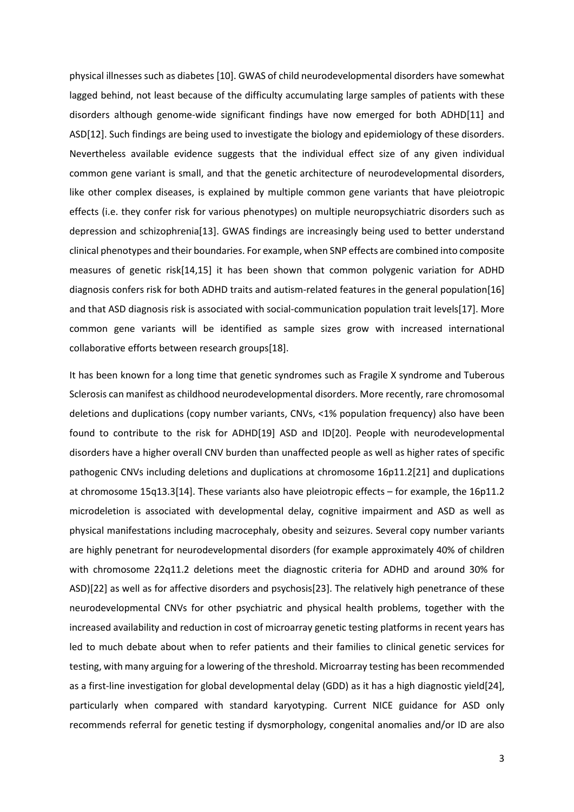physical illnesses such as diabetes [10]. GWAS of child neurodevelopmental disorders have somewhat lagged behind, not least because of the difficulty accumulating large samples of patients with these disorders although genome-wide significant findings have now emerged for both ADHD[11] and ASD[12]. Such findings are being used to investigate the biology and epidemiology of these disorders. Nevertheless available evidence suggests that the individual effect size of any given individual common gene variant is small, and that the genetic architecture of neurodevelopmental disorders, like other complex diseases, is explained by multiple common gene variants that have pleiotropic effects (i.e. they confer risk for various phenotypes) on multiple neuropsychiatric disorders such as depression and schizophrenia[13]. GWAS findings are increasingly being used to better understand clinical phenotypes and their boundaries. For example, when SNP effects are combined into composite measures of genetic risk[14,15] it has been shown that common polygenic variation for ADHD diagnosis confers risk for both ADHD traits and autism-related features in the general population[16] and that ASD diagnosis risk is associated with social-communication population trait levels[17]. More common gene variants will be identified as sample sizes grow with increased international collaborative efforts between research groups[18].

It has been known for a long time that genetic syndromes such as Fragile X syndrome and Tuberous Sclerosis can manifest as childhood neurodevelopmental disorders. More recently, rare chromosomal deletions and duplications (copy number variants, CNVs, <1% population frequency) also have been found to contribute to the risk for ADHD[19] ASD and ID[20]. People with neurodevelopmental disorders have a higher overall CNV burden than unaffected people as well as higher rates of specific pathogenic CNVs including deletions and duplications at chromosome 16p11.2[21] and duplications at chromosome 15q13.3[14]. These variants also have pleiotropic effects – for example, the 16p11.2 microdeletion is associated with developmental delay, cognitive impairment and ASD as well as physical manifestations including macrocephaly, obesity and seizures. Several copy number variants are highly penetrant for neurodevelopmental disorders (for example approximately 40% of children with chromosome 22q11.2 deletions meet the diagnostic criteria for ADHD and around 30% for ASD)[22] as well as for affective disorders and psychosis[23]. The relatively high penetrance of these neurodevelopmental CNVs for other psychiatric and physical health problems, together with the increased availability and reduction in cost of microarray genetic testing platforms in recent years has led to much debate about when to refer patients and their families to clinical genetic services for testing, with many arguing for a lowering of the threshold. Microarray testing has been recommended as a first-line investigation for global developmental delay (GDD) as it has a high diagnostic yield[24], particularly when compared with standard karyotyping. Current NICE guidance for ASD only recommends referral for genetic testing if dysmorphology, congenital anomalies and/or ID are also

3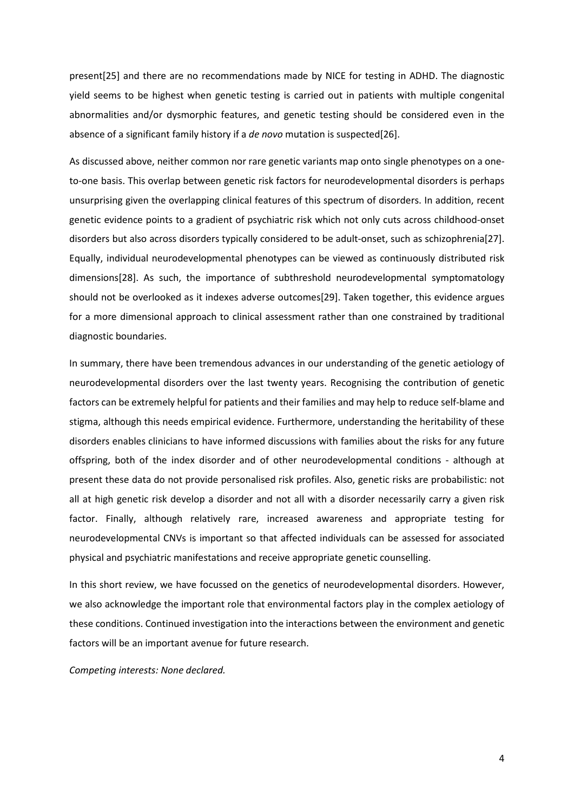present[25] and there are no recommendations made by NICE for testing in ADHD. The diagnostic yield seems to be highest when genetic testing is carried out in patients with multiple congenital abnormalities and/or dysmorphic features, and genetic testing should be considered even in the absence of a significant family history if a *de novo* mutation is suspected[26].

As discussed above, neither common nor rare genetic variants map onto single phenotypes on a oneto-one basis. This overlap between genetic risk factors for neurodevelopmental disorders is perhaps unsurprising given the overlapping clinical features of this spectrum of disorders. In addition, recent genetic evidence points to a gradient of psychiatric risk which not only cuts across childhood-onset disorders but also across disorders typically considered to be adult-onset, such as schizophrenia[27]. Equally, individual neurodevelopmental phenotypes can be viewed as continuously distributed risk dimensions[28]. As such, the importance of subthreshold neurodevelopmental symptomatology should not be overlooked as it indexes adverse outcomes[29]. Taken together, this evidence argues for a more dimensional approach to clinical assessment rather than one constrained by traditional diagnostic boundaries.

In summary, there have been tremendous advances in our understanding of the genetic aetiology of neurodevelopmental disorders over the last twenty years. Recognising the contribution of genetic factors can be extremely helpful for patients and their families and may help to reduce self-blame and stigma, although this needs empirical evidence. Furthermore, understanding the heritability of these disorders enables clinicians to have informed discussions with families about the risks for any future offspring, both of the index disorder and of other neurodevelopmental conditions - although at present these data do not provide personalised risk profiles. Also, genetic risks are probabilistic: not all at high genetic risk develop a disorder and not all with a disorder necessarily carry a given risk factor. Finally, although relatively rare, increased awareness and appropriate testing for neurodevelopmental CNVs is important so that affected individuals can be assessed for associated physical and psychiatric manifestations and receive appropriate genetic counselling.

In this short review, we have focussed on the genetics of neurodevelopmental disorders. However, we also acknowledge the important role that environmental factors play in the complex aetiology of these conditions. Continued investigation into the interactions between the environment and genetic factors will be an important avenue for future research.

*Competing interests: None declared.*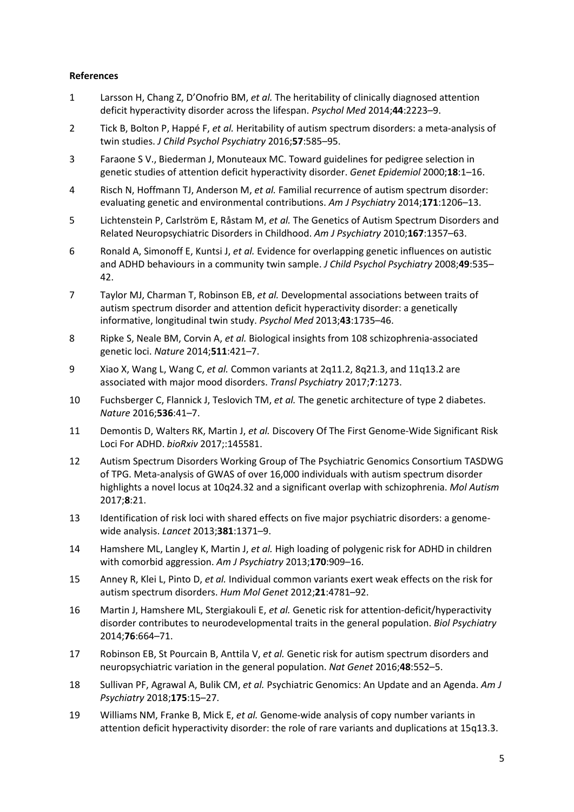## **References**

- 1 Larsson H, Chang Z, D'Onofrio BM, *et al.* The heritability of clinically diagnosed attention deficit hyperactivity disorder across the lifespan. *Psychol Med* 2014;**44**:2223–9.
- 2 Tick B, Bolton P, Happé F, *et al.* Heritability of autism spectrum disorders: a meta-analysis of twin studies. *J Child Psychol Psychiatry* 2016;**57**:585–95.
- 3 Faraone S V., Biederman J, Monuteaux MC. Toward guidelines for pedigree selection in genetic studies of attention deficit hyperactivity disorder. *Genet Epidemiol* 2000;**18**:1–16.
- 4 Risch N, Hoffmann TJ, Anderson M, *et al.* Familial recurrence of autism spectrum disorder: evaluating genetic and environmental contributions. *Am J Psychiatry* 2014;**171**:1206–13.
- 5 Lichtenstein P, Carlström E, Råstam M, *et al.* The Genetics of Autism Spectrum Disorders and Related Neuropsychiatric Disorders in Childhood. *Am J Psychiatry* 2010;**167**:1357–63.
- 6 Ronald A, Simonoff E, Kuntsi J, *et al.* Evidence for overlapping genetic influences on autistic and ADHD behaviours in a community twin sample. *J Child Psychol Psychiatry* 2008;**49**:535– 42.
- 7 Taylor MJ, Charman T, Robinson EB, *et al.* Developmental associations between traits of autism spectrum disorder and attention deficit hyperactivity disorder: a genetically informative, longitudinal twin study. *Psychol Med* 2013;**43**:1735–46.
- 8 Ripke S, Neale BM, Corvin A, *et al.* Biological insights from 108 schizophrenia-associated genetic loci. *Nature* 2014;**511**:421–7.
- 9 Xiao X, Wang L, Wang C, *et al.* Common variants at 2q11.2, 8q21.3, and 11q13.2 are associated with major mood disorders. *Transl Psychiatry* 2017;**7**:1273.
- 10 Fuchsberger C, Flannick J, Teslovich TM, *et al.* The genetic architecture of type 2 diabetes. *Nature* 2016;**536**:41–7.
- 11 Demontis D, Walters RK, Martin J, *et al.* Discovery Of The First Genome-Wide Significant Risk Loci For ADHD. *bioRxiv* 2017;:145581.
- 12 Autism Spectrum Disorders Working Group of The Psychiatric Genomics Consortium TASDWG of TPG. Meta-analysis of GWAS of over 16,000 individuals with autism spectrum disorder highlights a novel locus at 10q24.32 and a significant overlap with schizophrenia. *Mol Autism* 2017;**8**:21.
- 13 Identification of risk loci with shared effects on five major psychiatric disorders: a genomewide analysis. *Lancet* 2013;**381**:1371–9.
- 14 Hamshere ML, Langley K, Martin J, *et al.* High loading of polygenic risk for ADHD in children with comorbid aggression. *Am J Psychiatry* 2013;**170**:909–16.
- 15 Anney R, Klei L, Pinto D, *et al.* Individual common variants exert weak effects on the risk for autism spectrum disorders. *Hum Mol Genet* 2012;**21**:4781–92.
- 16 Martin J, Hamshere ML, Stergiakouli E, *et al.* Genetic risk for attention-deficit/hyperactivity disorder contributes to neurodevelopmental traits in the general population. *Biol Psychiatry* 2014;**76**:664–71.
- 17 Robinson EB, St Pourcain B, Anttila V, *et al.* Genetic risk for autism spectrum disorders and neuropsychiatric variation in the general population. *Nat Genet* 2016;**48**:552–5.
- 18 Sullivan PF, Agrawal A, Bulik CM, *et al.* Psychiatric Genomics: An Update and an Agenda. *Am J Psychiatry* 2018;**175**:15–27.
- 19 Williams NM, Franke B, Mick E, *et al.* Genome-wide analysis of copy number variants in attention deficit hyperactivity disorder: the role of rare variants and duplications at 15q13.3.